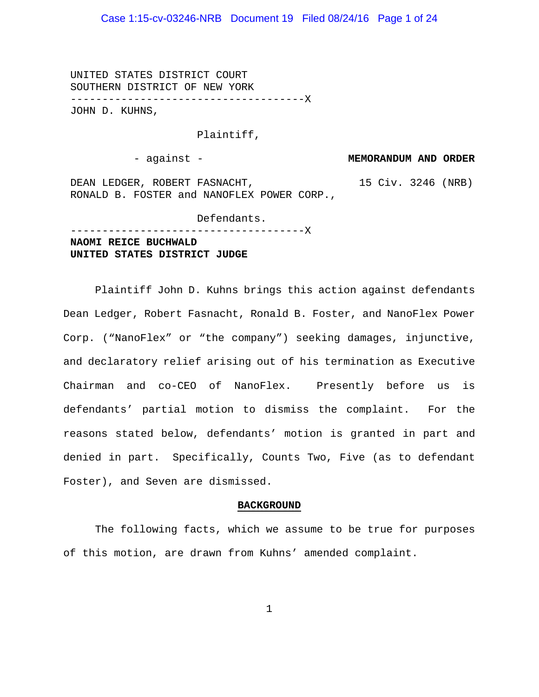# Case 1:15-cv-03246-NRB Document 19 Filed 08/24/16 Page 1 of 24

UNITED STATES DISTRICT COURT SOUTHERN DISTRICT OF NEW YORK -------------------------------------X JOHN D. KUHNS,

#### Plaintiff,

- against - **MEMORANDUM AND ORDER**

DEAN LEDGER, ROBERT FASNACHT, RONALD B. FOSTER and NANOFLEX POWER CORP., 15 Civ. 3246 (NRB)

Defendants. -------------------------------------X **NAOMI REICE BUCHWALD UNITED STATES DISTRICT JUDGE**

Plaintiff John D. Kuhns brings this action against defendants Dean Ledger, Robert Fasnacht, Ronald B. Foster, and NanoFlex Power Corp. ("NanoFlex" or "the company") seeking damages, injunctive, and declaratory relief arising out of his termination as Executive Chairman and co-CEO of NanoFlex. Presently before us is defendants' partial motion to dismiss the complaint. For the reasons stated below, defendants' motion is granted in part and denied in part. Specifically, Counts Two, Five (as to defendant Foster), and Seven are dismissed.

#### **BACKGROUND**

The following facts, which we assume to be true for purposes of this motion, are drawn from Kuhns' amended complaint.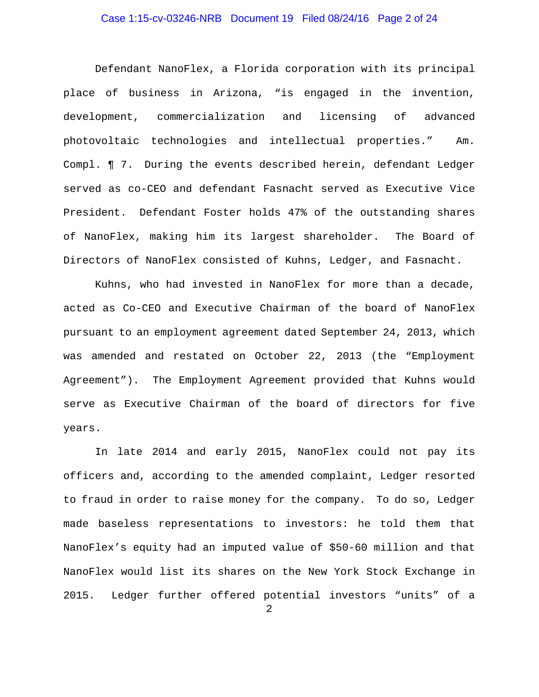# Case 1:15-cv-03246-NRB Document 19 Filed 08/24/16 Page 2 of 24

Defendant NanoFlex, a Florida corporation with its principal place of business in Arizona, "is engaged in the invention, development, commercialization and licensing of advanced photovoltaic technologies and intellectual properties." Am. Compl. ¶ 7. During the events described herein, defendant Ledger served as co-CEO and defendant Fasnacht served as Executive Vice President. Defendant Foster holds 47% of the outstanding shares of NanoFlex, making him its largest shareholder. The Board of Directors of NanoFlex consisted of Kuhns, Ledger, and Fasnacht.

Kuhns, who had invested in NanoFlex for more than a decade, acted as Co-CEO and Executive Chairman of the board of NanoFlex pursuant to an employment agreement dated September 24, 2013, which was amended and restated on October 22, 2013 (the "Employment Agreement"). The Employment Agreement provided that Kuhns would serve as Executive Chairman of the board of directors for five years.

In late 2014 and early 2015, NanoFlex could not pay its officers and, according to the amended complaint, Ledger resorted to fraud in order to raise money for the company. To do so, Ledger made baseless representations to investors: he told them that NanoFlex's equity had an imputed value of \$50-60 million and that NanoFlex would list its shares on the New York Stock Exchange in 2015. Ledger further offered potential investors "units" of a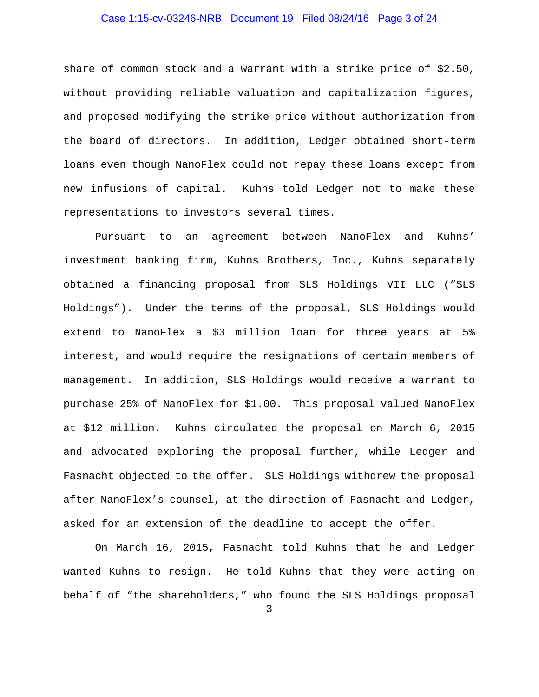# Case 1:15-cv-03246-NRB Document 19 Filed 08/24/16 Page 3 of 24

share of common stock and a warrant with a strike price of \$2.50, without providing reliable valuation and capitalization figures, and proposed modifying the strike price without authorization from the board of directors. In addition, Ledger obtained short-term loans even though NanoFlex could not repay these loans except from new infusions of capital. Kuhns told Ledger not to make these representations to investors several times.

Pursuant to an agreement between NanoFlex and Kuhns' investment banking firm, Kuhns Brothers, Inc., Kuhns separately obtained a financing proposal from SLS Holdings VII LLC ("SLS Holdings"). Under the terms of the proposal, SLS Holdings would extend to NanoFlex a \$3 million loan for three years at 5% interest, and would require the resignations of certain members of management. In addition, SLS Holdings would receive a warrant to purchase 25% of NanoFlex for \$1.00. This proposal valued NanoFlex at \$12 million. Kuhns circulated the proposal on March 6, 2015 and advocated exploring the proposal further, while Ledger and Fasnacht objected to the offer. SLS Holdings withdrew the proposal after NanoFlex's counsel, at the direction of Fasnacht and Ledger, asked for an extension of the deadline to accept the offer.

On March 16, 2015, Fasnacht told Kuhns that he and Ledger wanted Kuhns to resign. He told Kuhns that they were acting on behalf of "the shareholders," who found the SLS Holdings proposal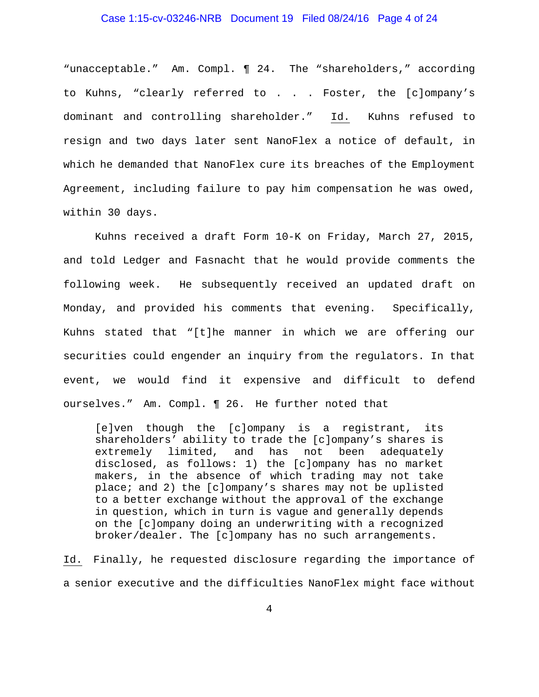### Case 1:15-cv-03246-NRB Document 19 Filed 08/24/16 Page 4 of 24

"unacceptable." Am. Compl. ¶ 24. The "shareholders," according to Kuhns, "clearly referred to . . . Foster, the [c]ompany's dominant and controlling shareholder." Id. Kuhns refused to resign and two days later sent NanoFlex a notice of default, in which he demanded that NanoFlex cure its breaches of the Employment Agreement, including failure to pay him compensation he was owed, within 30 days.

Kuhns received a draft Form 10-K on Friday, March 27, 2015, and told Ledger and Fasnacht that he would provide comments the following week. He subsequently received an updated draft on Monday, and provided his comments that evening. Specifically, Kuhns stated that "[t]he manner in which we are offering our securities could engender an inquiry from the regulators. In that event, we would find it expensive and difficult to defend ourselves." Am. Compl. ¶ 26. He further noted that

[e]ven though the [c]ompany is a registrant, its shareholders' ability to trade the [c]ompany's shares is extremely limited, and has not been adequately disclosed, as follows: 1) the [c]ompany has no market makers, in the absence of which trading may not take place; and 2) the [c]ompany's shares may not be uplisted to a better exchange without the approval of the exchange in question, which in turn is vague and generally depends on the [c]ompany doing an underwriting with a recognized broker/dealer. The [c]ompany has no such arrangements.

Id. Finally, he requested disclosure regarding the importance of a senior executive and the difficulties NanoFlex might face without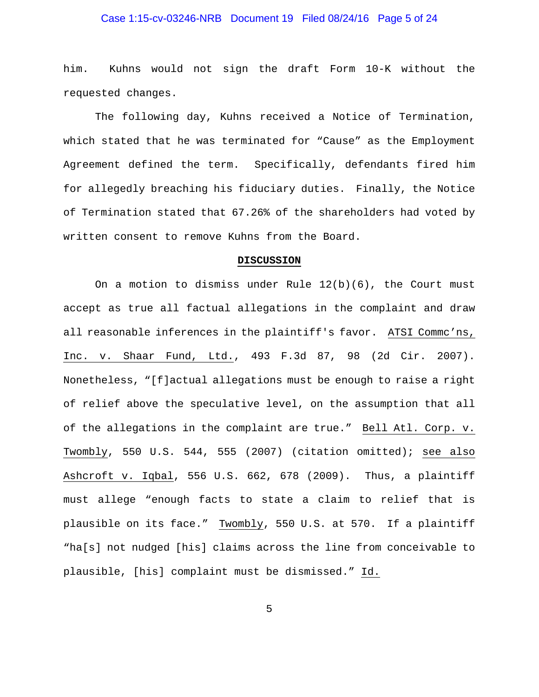# Case 1:15-cv-03246-NRB Document 19 Filed 08/24/16 Page 5 of 24

him. Kuhns would not sign the draft Form 10-K without the requested changes.

 The following day, Kuhns received a Notice of Termination, which stated that he was terminated for "Cause" as the Employment Agreement defined the term. Specifically, defendants fired him for allegedly breaching his fiduciary duties. Finally, the Notice of Termination stated that 67.26% of the shareholders had voted by written consent to remove Kuhns from the Board.

#### **DISCUSSION**

On a motion to dismiss under Rule  $12(b)(6)$ , the Court must accept as true all factual allegations in the complaint and draw all reasonable inferences in the plaintiff's favor. ATSI Commc'ns, Inc. v. Shaar Fund, Ltd., 493 F.3d 87, 98 (2d Cir. 2007). Nonetheless, "[f]actual allegations must be enough to raise a right of relief above the speculative level, on the assumption that all of the allegations in the complaint are true." Bell Atl. Corp. v. Twombly, 550 U.S. 544, 555 (2007) (citation omitted); see also Ashcroft v. Iqbal, 556 U.S. 662, 678 (2009). Thus, a plaintiff must allege "enough facts to state a claim to relief that is plausible on its face." Twombly, 550 U.S. at 570. If a plaintiff "ha[s] not nudged [his] claims across the line from conceivable to plausible, [his] complaint must be dismissed." Id.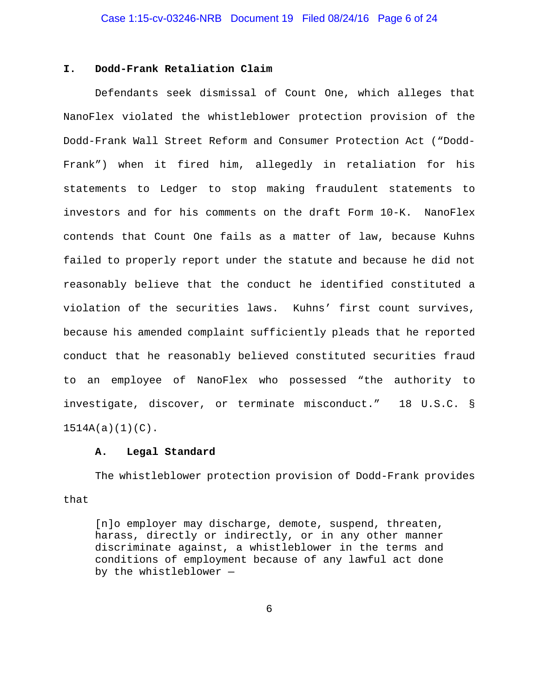# **I. Dodd-Frank Retaliation Claim**

Defendants seek dismissal of Count One, which alleges that NanoFlex violated the whistleblower protection provision of the Dodd-Frank Wall Street Reform and Consumer Protection Act ("Dodd-Frank") when it fired him, allegedly in retaliation for his statements to Ledger to stop making fraudulent statements to investors and for his comments on the draft Form 10-K. NanoFlex contends that Count One fails as a matter of law, because Kuhns failed to properly report under the statute and because he did not reasonably believe that the conduct he identified constituted a violation of the securities laws. Kuhns' first count survives, because his amended complaint sufficiently pleads that he reported conduct that he reasonably believed constituted securities fraud to an employee of NanoFlex who possessed "the authority to investigate, discover, or terminate misconduct." 18 U.S.C. § 1514A(a)(1)(C).

### **A. Legal Standard**

The whistleblower protection provision of Dodd-Frank provides that

[n]o employer may discharge, demote, suspend, threaten, harass, directly or indirectly, or in any other manner discriminate against, a whistleblower in the terms and conditions of employment because of any lawful act done by the whistleblower —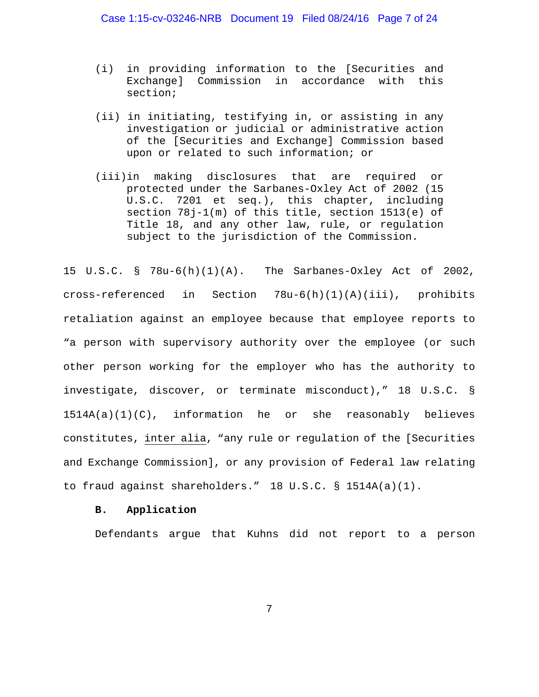Case 1:15-cv-03246-NRB Document 19 Filed 08/24/16 Page 7 of 24

- (i) in providing information to the [Securities and Exchange] Commission in accordance with this section;
- (ii) in initiating, testifying in, or assisting in any investigation or judicial or administrative action of the [Securities and Exchange] Commission based upon or related to such information; or
- (iii)in making disclosures that are required or protected under the Sarbanes-Oxley Act of 2002 (15 U.S.C. 7201 et seq.), this chapter, including section 78j-1(m) of this title, section 1513(e) of Title 18, and any other law, rule, or regulation subject to the jurisdiction of the Commission.

15 U.S.C. § 78u-6(h)(1)(A). The Sarbanes-Oxley Act of 2002, cross-referenced in Section 78u-6(h)(1)(A)(iii), prohibits retaliation against an employee because that employee reports to "a person with supervisory authority over the employee (or such other person working for the employer who has the authority to investigate, discover, or terminate misconduct)," 18 U.S.C. § 1514A(a)(1)(C), information he or she reasonably believes constitutes, inter alia, "any rule or regulation of the [Securities and Exchange Commission], or any provision of Federal law relating to fraud against shareholders." 18 U.S.C. § 1514A(a)(1).

### **B. Application**

Defendants argue that Kuhns did not report to a person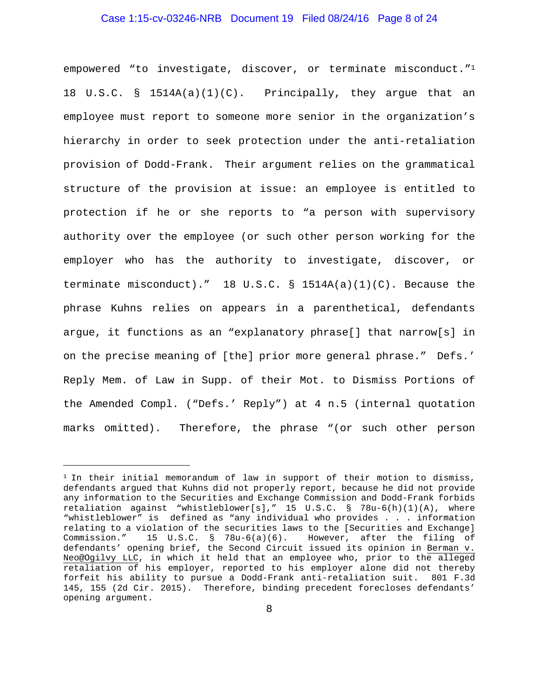# Case 1:15-cv-03246-NRB Document 19 Filed 08/24/16 Page 8 of 24

empowered "to investigate, discover, or terminate misconduct."1 18 U.S.C. § 1514A(a)(1)(C). Principally, they argue that an employee must report to someone more senior in the organization's hierarchy in order to seek protection under the anti-retaliation provision of Dodd-Frank. Their argument relies on the grammatical structure of the provision at issue: an employee is entitled to protection if he or she reports to "a person with supervisory authority over the employee (or such other person working for the employer who has the authority to investigate, discover, or terminate misconduct)." 18 U.S.C.  $\S$  1514A(a)(1)(C). Because the phrase Kuhns relies on appears in a parenthetical, defendants argue, it functions as an "explanatory phrase[] that narrow[s] in on the precise meaning of [the] prior more general phrase." Defs.' Reply Mem. of Law in Supp. of their Mot. to Dismiss Portions of the Amended Compl. ("Defs.' Reply") at 4 n.5 (internal quotation marks omitted). Therefore, the phrase "(or such other person

í

 $1$  In their initial memorandum of law in support of their motion to dismiss, defendants argued that Kuhns did not properly report, because he did not provide any information to the Securities and Exchange Commission and Dodd-Frank forbids retaliation against "whistleblower[s]," 15 U.S.C. § 78u-6(h)(1)(A), where "whistleblower" is defined as "any individual who provides . . . information relating to a violation of the securities laws to the [Securities and Exchange] Commission." 15 U.S.C. § 78u-6(a)(6). However, after the filing of defendants' opening brief, the Second Circuit issued its opinion in Berman v. Neo@Ogilvy LLC, in which it held that an employee who, prior to the alleged retaliation of his employer, reported to his employer alone did not thereby forfeit his ability to pursue a Dodd-Frank anti-retaliation suit. 801 F.3d 145, 155 (2d Cir. 2015). Therefore, binding precedent forecloses defendants' opening argument.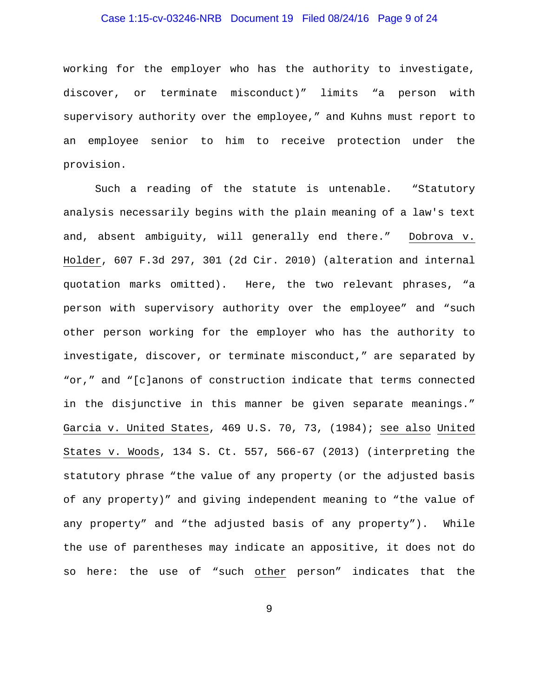# Case 1:15-cv-03246-NRB Document 19 Filed 08/24/16 Page 9 of 24

working for the employer who has the authority to investigate, discover, or terminate misconduct)" limits "a person with supervisory authority over the employee," and Kuhns must report to an employee senior to him to receive protection under the provision.

Such a reading of the statute is untenable. "Statutory analysis necessarily begins with the plain meaning of a law's text and, absent ambiguity, will generally end there." Dobrova v. Holder, 607 F.3d 297, 301 (2d Cir. 2010) (alteration and internal quotation marks omitted). Here, the two relevant phrases, "a person with supervisory authority over the employee" and "such other person working for the employer who has the authority to investigate, discover, or terminate misconduct," are separated by "or," and "[c]anons of construction indicate that terms connected in the disjunctive in this manner be given separate meanings." Garcia v. United States, 469 U.S. 70, 73, (1984); see also United States v. Woods, 134 S. Ct. 557, 566-67 (2013) (interpreting the statutory phrase "the value of any property (or the adjusted basis of any property)" and giving independent meaning to "the value of any property" and "the adjusted basis of any property"). While the use of parentheses may indicate an appositive, it does not do so here: the use of "such other person" indicates that the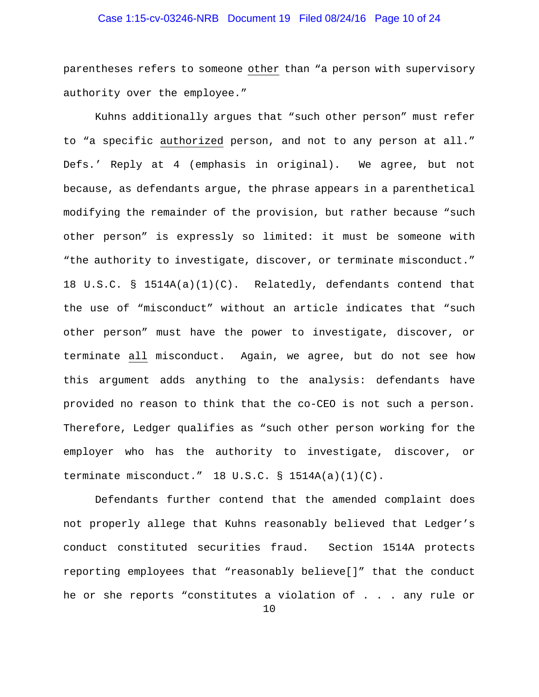# Case 1:15-cv-03246-NRB Document 19 Filed 08/24/16 Page 10 of 24

parentheses refers to someone other than "a person with supervisory authority over the employee."

Kuhns additionally argues that "such other person" must refer to "a specific authorized person, and not to any person at all." Defs.' Reply at 4 (emphasis in original). We agree, but not because, as defendants argue, the phrase appears in a parenthetical modifying the remainder of the provision, but rather because "such other person" is expressly so limited: it must be someone with "the authority to investigate, discover, or terminate misconduct." 18 U.S.C. § 1514A(a)(1)(C). Relatedly, defendants contend that the use of "misconduct" without an article indicates that "such other person" must have the power to investigate, discover, or terminate all misconduct. Again, we agree, but do not see how this argument adds anything to the analysis: defendants have provided no reason to think that the co-CEO is not such a person. Therefore, Ledger qualifies as "such other person working for the employer who has the authority to investigate, discover, or terminate misconduct."  $18$  U.S.C. §  $1514A(a)(1)(C)$ .

Defendants further contend that the amended complaint does not properly allege that Kuhns reasonably believed that Ledger's conduct constituted securities fraud. Section 1514A protects reporting employees that "reasonably believe[]" that the conduct he or she reports "constitutes a violation of . . . any rule or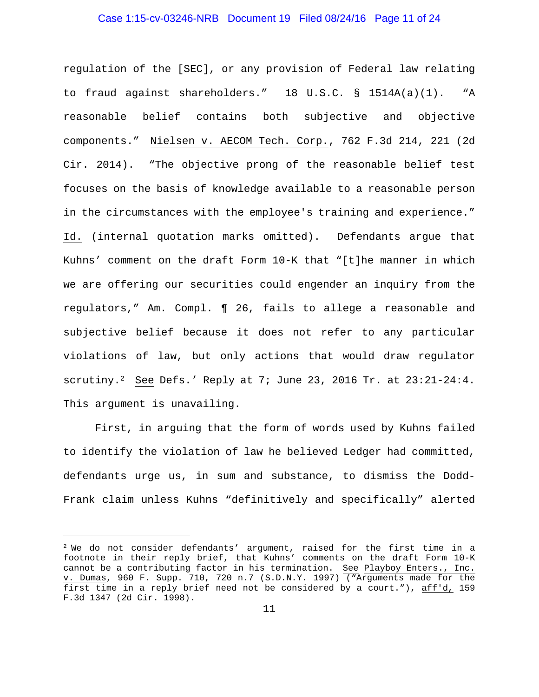### Case 1:15-cv-03246-NRB Document 19 Filed 08/24/16 Page 11 of 24

regulation of the [SEC], or any provision of Federal law relating to fraud against shareholders." 18 U.S.C. § 1514A(a)(1). "A reasonable belief contains both subjective and objective components." Nielsen v. AECOM Tech. Corp., 762 F.3d 214, 221 (2d Cir. 2014). "The objective prong of the reasonable belief test focuses on the basis of knowledge available to a reasonable person in the circumstances with the employee's training and experience." Id. (internal quotation marks omitted). Defendants argue that Kuhns' comment on the draft Form 10-K that "[t]he manner in which we are offering our securities could engender an inquiry from the regulators," Am. Compl. ¶ 26, fails to allege a reasonable and subjective belief because it does not refer to any particular violations of law, but only actions that would draw regulator scrutiny.<sup>2</sup> See Defs.' Reply at 7; June 23, 2016 Tr. at  $23:21-24:4$ . This argument is unavailing.

First, in arguing that the form of words used by Kuhns failed to identify the violation of law he believed Ledger had committed, defendants urge us, in sum and substance, to dismiss the Dodd-Frank claim unless Kuhns "definitively and specifically" alerted

i<br>I

 $2$  We do not consider defendants' argument, raised for the first time in a footnote in their reply brief, that Kuhns' comments on the draft Form 10-K cannot be a contributing factor in his termination. See Playboy Enters., Inc. v. Dumas, 960 F. Supp. 710, 720 n.7 (S.D.N.Y. 1997) ("Arguments made for the first time in a reply brief need not be considered by a court."), aff'd, 159 F.3d 1347 (2d Cir. 1998).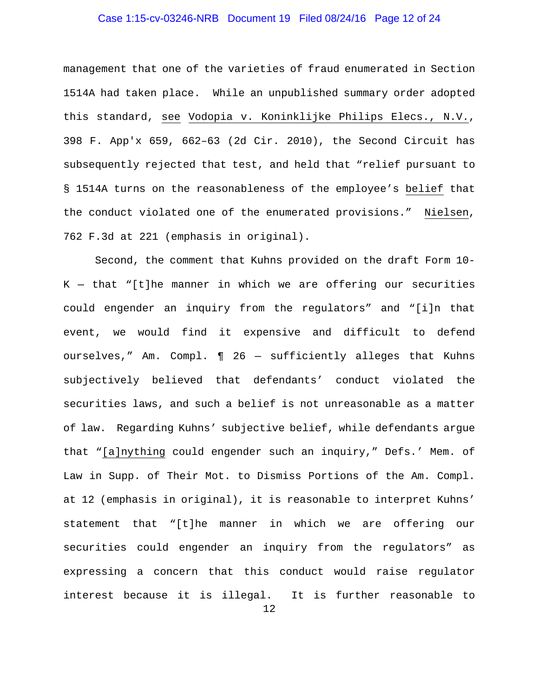# Case 1:15-cv-03246-NRB Document 19 Filed 08/24/16 Page 12 of 24

management that one of the varieties of fraud enumerated in Section 1514A had taken place. While an unpublished summary order adopted this standard, see Vodopia v. Koninklijke Philips Elecs., N.V., 398 F. App'x 659, 662–63 (2d Cir. 2010), the Second Circuit has subsequently rejected that test, and held that "relief pursuant to § 1514A turns on the reasonableness of the employee's belief that the conduct violated one of the enumerated provisions." Nielsen, 762 F.3d at 221 (emphasis in original).

12 Second, the comment that Kuhns provided on the draft Form 10-  $K - that$  "[t]he manner in which we are offering our securities could engender an inquiry from the regulators" and "[i]n that event, we would find it expensive and difficult to defend ourselves," Am. Compl. ¶ 26 — sufficiently alleges that Kuhns subjectively believed that defendants' conduct violated the securities laws, and such a belief is not unreasonable as a matter of law. Regarding Kuhns' subjective belief, while defendants argue that "[a]nything could engender such an inquiry," Defs.' Mem. of Law in Supp. of Their Mot. to Dismiss Portions of the Am. Compl. at 12 (emphasis in original), it is reasonable to interpret Kuhns' statement that "[t]he manner in which we are offering our securities could engender an inquiry from the regulators" as expressing a concern that this conduct would raise regulator interest because it is illegal. It is further reasonable to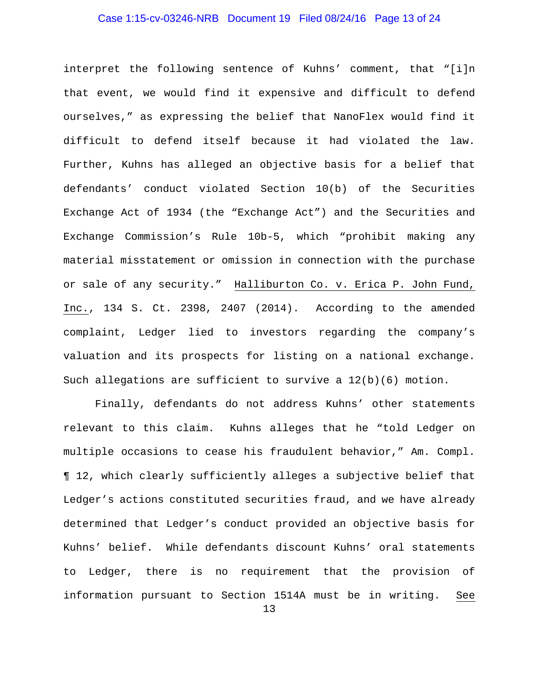# Case 1:15-cv-03246-NRB Document 19 Filed 08/24/16 Page 13 of 24

interpret the following sentence of Kuhns' comment, that "[i]n that event, we would find it expensive and difficult to defend ourselves," as expressing the belief that NanoFlex would find it difficult to defend itself because it had violated the law. Further, Kuhns has alleged an objective basis for a belief that defendants' conduct violated Section 10(b) of the Securities Exchange Act of 1934 (the "Exchange Act") and the Securities and Exchange Commission's Rule 10b-5, which "prohibit making any material misstatement or omission in connection with the purchase or sale of any security." Halliburton Co. v. Erica P. John Fund, Inc., 134 S. Ct. 2398, 2407 (2014). According to the amended complaint, Ledger lied to investors regarding the company's valuation and its prospects for listing on a national exchange. Such allegations are sufficient to survive a 12(b)(6) motion.

13 Finally, defendants do not address Kuhns' other statements relevant to this claim. Kuhns alleges that he "told Ledger on multiple occasions to cease his fraudulent behavior," Am. Compl. ¶ 12, which clearly sufficiently alleges a subjective belief that Ledger's actions constituted securities fraud, and we have already determined that Ledger's conduct provided an objective basis for Kuhns' belief. While defendants discount Kuhns' oral statements to Ledger, there is no requirement that the provision of information pursuant to Section 1514A must be in writing. See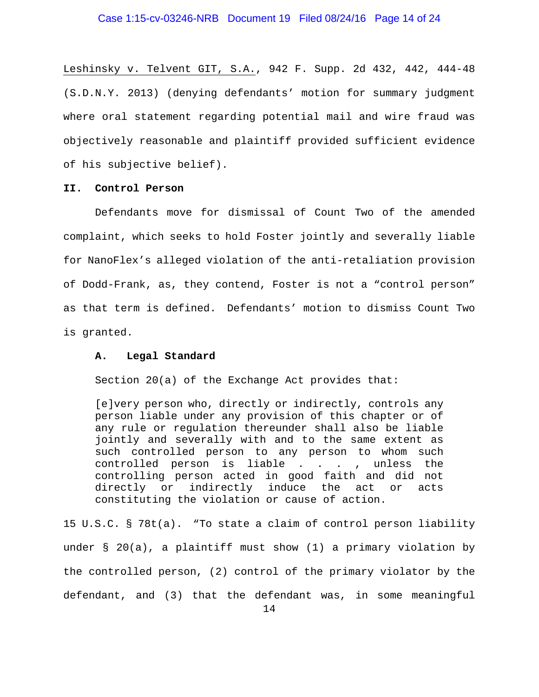### Case 1:15-cv-03246-NRB Document 19 Filed 08/24/16 Page 14 of 24

Leshinsky v. Telvent GIT, S.A., 942 F. Supp. 2d 432, 442, 444-48 (S.D.N.Y. 2013) (denying defendants' motion for summary judgment where oral statement regarding potential mail and wire fraud was objectively reasonable and plaintiff provided sufficient evidence of his subjective belief).

### **II. Control Person**

Defendants move for dismissal of Count Two of the amended complaint, which seeks to hold Foster jointly and severally liable for NanoFlex's alleged violation of the anti-retaliation provision of Dodd-Frank, as, they contend, Foster is not a "control person" as that term is defined. Defendants' motion to dismiss Count Two is granted.

### **A. Legal Standard**

Section 20(a) of the Exchange Act provides that:

[e]very person who, directly or indirectly, controls any person liable under any provision of this chapter or of any rule or regulation thereunder shall also be liable jointly and severally with and to the same extent as such controlled person to any person to whom such controlled person is liable . . . , unless the controlling person acted in good faith and did not directly or indirectly induce the act or acts constituting the violation or cause of action.

15 U.S.C. § 78t(a). "To state a claim of control person liability under § 20(a), a plaintiff must show (1) a primary violation by the controlled person, (2) control of the primary violator by the defendant, and (3) that the defendant was, in some meaningful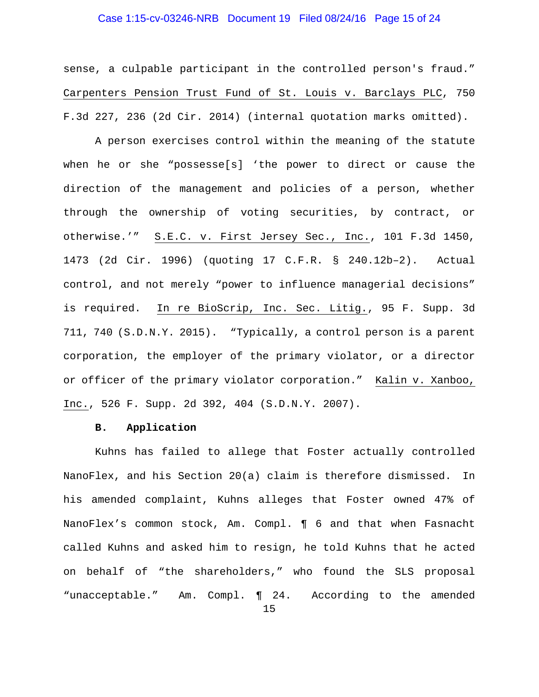# Case 1:15-cv-03246-NRB Document 19 Filed 08/24/16 Page 15 of 24

sense, a culpable participant in the controlled person's fraud." Carpenters Pension Trust Fund of St. Louis v. Barclays PLC, 750 F.3d 227, 236 (2d Cir. 2014) (internal quotation marks omitted).

 A person exercises control within the meaning of the statute when he or she "possesse[s] 'the power to direct or cause the direction of the management and policies of a person, whether through the ownership of voting securities, by contract, or otherwise.'" S.E.C. v. First Jersey Sec., Inc., 101 F.3d 1450, 1473 (2d Cir. 1996) (quoting 17 C.F.R. § 240.12b–2). Actual control, and not merely "power to influence managerial decisions" is required. In re BioScrip, Inc. Sec. Litig., 95 F. Supp. 3d 711, 740 (S.D.N.Y. 2015). "Typically, a control person is a parent corporation, the employer of the primary violator, or a director or officer of the primary violator corporation." Kalin v. Xanboo, Inc., 526 F. Supp. 2d 392, 404 (S.D.N.Y. 2007).

### **B. Application**

Kuhns has failed to allege that Foster actually controlled NanoFlex, and his Section 20(a) claim is therefore dismissed. In his amended complaint, Kuhns alleges that Foster owned 47% of NanoFlex's common stock, Am. Compl. ¶ 6 and that when Fasnacht called Kuhns and asked him to resign, he told Kuhns that he acted on behalf of "the shareholders," who found the SLS proposal "unacceptable." Am. Compl. ¶ 24. According to the amended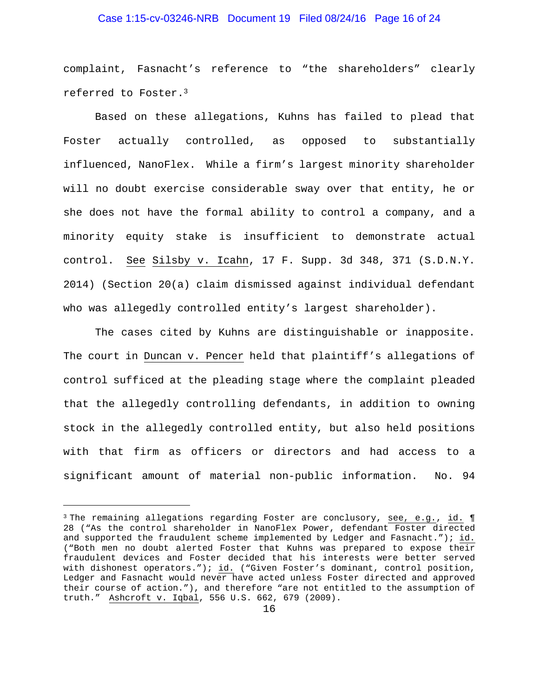# Case 1:15-cv-03246-NRB Document 19 Filed 08/24/16 Page 16 of 24

complaint, Fasnacht's reference to "the shareholders" clearly referred to Foster.3

Based on these allegations, Kuhns has failed to plead that Foster actually controlled, as opposed to substantially influenced, NanoFlex. While a firm's largest minority shareholder will no doubt exercise considerable sway over that entity, he or she does not have the formal ability to control a company, and a minority equity stake is insufficient to demonstrate actual control. See Silsby v. Icahn, 17 F. Supp. 3d 348, 371 (S.D.N.Y. 2014) (Section 20(a) claim dismissed against individual defendant who was allegedly controlled entity's largest shareholder).

The cases cited by Kuhns are distinguishable or inapposite. The court in Duncan v. Pencer held that plaintiff's allegations of control sufficed at the pleading stage where the complaint pleaded that the allegedly controlling defendants, in addition to owning stock in the allegedly controlled entity, but also held positions with that firm as officers or directors and had access to a significant amount of material non-public information. No. 94

i<br>I

 $3$  The remaining allegations regarding Foster are conclusory, see, e.g., id.  $\P$ 28 ("As the control shareholder in NanoFlex Power, defendant Foster directed and supported the fraudulent scheme implemented by Ledger and Fasnacht."); id. ("Both men no doubt alerted Foster that Kuhns was prepared to expose their fraudulent devices and Foster decided that his interests were better served with dishonest operators."); id. ("Given Foster's dominant, control position, Ledger and Fasnacht would never have acted unless Foster directed and approved their course of action."), and therefore "are not entitled to the assumption of truth." Ashcroft v. Iqbal, 556 U.S. 662, 679 (2009).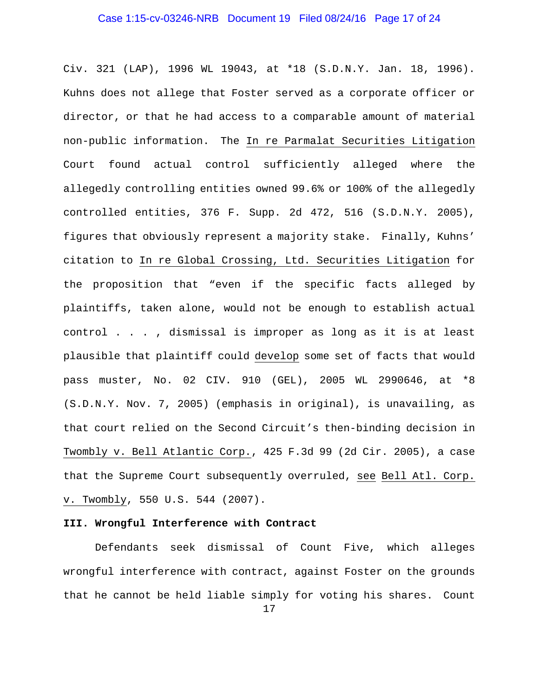# Case 1:15-cv-03246-NRB Document 19 Filed 08/24/16 Page 17 of 24

Civ. 321 (LAP), 1996 WL 19043, at \*18 (S.D.N.Y. Jan. 18, 1996). Kuhns does not allege that Foster served as a corporate officer or director, or that he had access to a comparable amount of material non-public information. The In re Parmalat Securities Litigation Court found actual control sufficiently alleged where the allegedly controlling entities owned 99.6% or 100% of the allegedly controlled entities, 376 F. Supp. 2d 472, 516 (S.D.N.Y. 2005), figures that obviously represent a majority stake. Finally, Kuhns' citation to In re Global Crossing, Ltd. Securities Litigation for the proposition that "even if the specific facts alleged by plaintiffs, taken alone, would not be enough to establish actual control . . . , dismissal is improper as long as it is at least plausible that plaintiff could develop some set of facts that would pass muster, No. 02 CIV. 910 (GEL), 2005 WL 2990646, at \*8 (S.D.N.Y. Nov. 7, 2005) (emphasis in original), is unavailing, as that court relied on the Second Circuit's then-binding decision in Twombly v. Bell Atlantic Corp., 425 F.3d 99 (2d Cir. 2005), a case that the Supreme Court subsequently overruled, see Bell Atl. Corp. v. Twombly, 550 U.S. 544 (2007).

# **III. Wrongful Interference with Contract**

Defendants seek dismissal of Count Five, which alleges wrongful interference with contract, against Foster on the grounds that he cannot be held liable simply for voting his shares. Count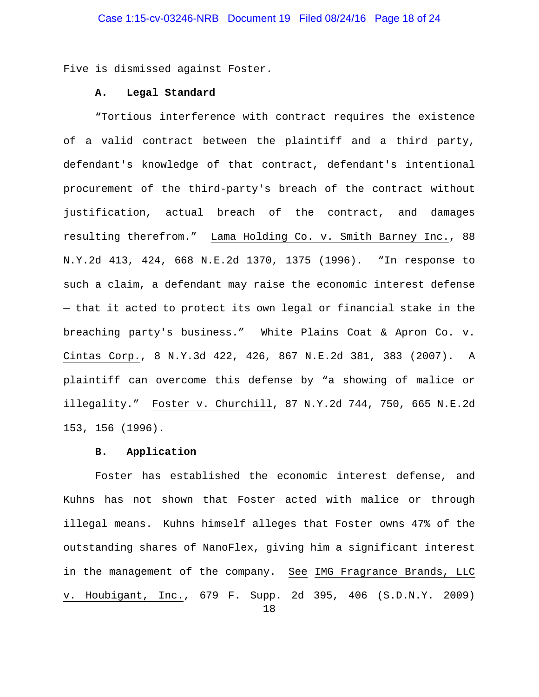Five is dismissed against Foster.

### **A. Legal Standard**

"Tortious interference with contract requires the existence of a valid contract between the plaintiff and a third party, defendant's knowledge of that contract, defendant's intentional procurement of the third-party's breach of the contract without justification, actual breach of the contract, and damages resulting therefrom." Lama Holding Co. v. Smith Barney Inc., 88 N.Y.2d 413, 424, 668 N.E.2d 1370, 1375 (1996). "In response to such a claim, a defendant may raise the economic interest defense — that it acted to protect its own legal or financial stake in the breaching party's business." White Plains Coat & Apron Co. v. Cintas Corp., 8 N.Y.3d 422, 426, 867 N.E.2d 381, 383 (2007). A plaintiff can overcome this defense by "a showing of malice or illegality." Foster v. Churchill, 87 N.Y.2d 744, 750, 665 N.E.2d 153, 156 (1996).

# **B. Application**

Foster has established the economic interest defense, and Kuhns has not shown that Foster acted with malice or through illegal means. Kuhns himself alleges that Foster owns 47% of the outstanding shares of NanoFlex, giving him a significant interest in the management of the company. See IMG Fragrance Brands, LLC v. Houbigant, Inc., 679 F. Supp. 2d 395, 406 (S.D.N.Y. 2009)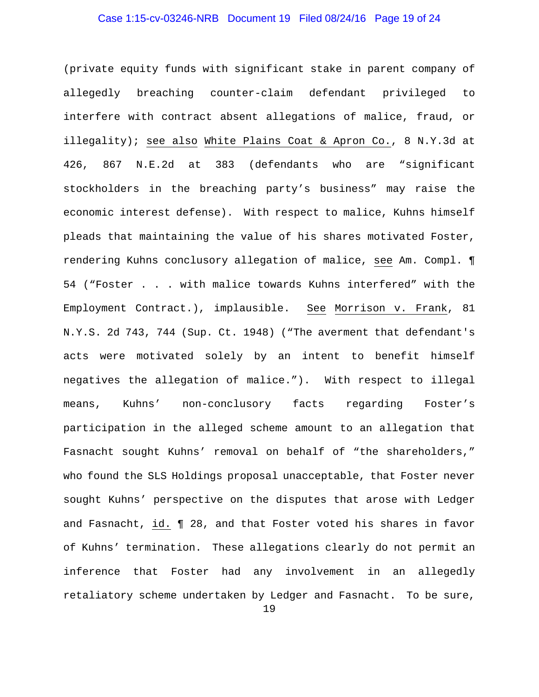# Case 1:15-cv-03246-NRB Document 19 Filed 08/24/16 Page 19 of 24

(private equity funds with significant stake in parent company of allegedly breaching counter-claim defendant privileged to interfere with contract absent allegations of malice, fraud, or illegality); see also White Plains Coat & Apron Co., 8 N.Y.3d at 426, 867 N.E.2d at 383 (defendants who are "significant stockholders in the breaching party's business" may raise the economic interest defense). With respect to malice, Kuhns himself pleads that maintaining the value of his shares motivated Foster, rendering Kuhns conclusory allegation of malice, see Am. Compl. ¶ 54 ("Foster . . . with malice towards Kuhns interfered" with the Employment Contract.), implausible. See Morrison v. Frank, 81 N.Y.S. 2d 743, 744 (Sup. Ct. 1948) ("The averment that defendant's acts were motivated solely by an intent to benefit himself negatives the allegation of malice."). With respect to illegal means, Kuhns' non-conclusory facts regarding Foster's participation in the alleged scheme amount to an allegation that Fasnacht sought Kuhns' removal on behalf of "the shareholders," who found the SLS Holdings proposal unacceptable, that Foster never sought Kuhns' perspective on the disputes that arose with Ledger and Fasnacht, id. ¶ 28, and that Foster voted his shares in favor of Kuhns' termination. These allegations clearly do not permit an inference that Foster had any involvement in an allegedly retaliatory scheme undertaken by Ledger and Fasnacht. To be sure,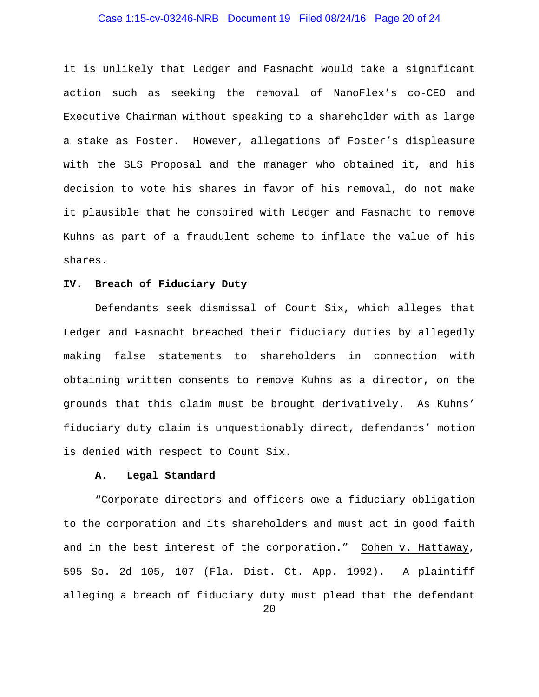# Case 1:15-cv-03246-NRB Document 19 Filed 08/24/16 Page 20 of 24

it is unlikely that Ledger and Fasnacht would take a significant action such as seeking the removal of NanoFlex's co-CEO and Executive Chairman without speaking to a shareholder with as large a stake as Foster. However, allegations of Foster's displeasure with the SLS Proposal and the manager who obtained it, and his decision to vote his shares in favor of his removal, do not make it plausible that he conspired with Ledger and Fasnacht to remove Kuhns as part of a fraudulent scheme to inflate the value of his shares.

### **IV. Breach of Fiduciary Duty**

Defendants seek dismissal of Count Six, which alleges that Ledger and Fasnacht breached their fiduciary duties by allegedly making false statements to shareholders in connection with obtaining written consents to remove Kuhns as a director, on the grounds that this claim must be brought derivatively. As Kuhns' fiduciary duty claim is unquestionably direct, defendants' motion is denied with respect to Count Six.

### **A. Legal Standard**

"Corporate directors and officers owe a fiduciary obligation to the corporation and its shareholders and must act in good faith and in the best interest of the corporation." Cohen v. Hattaway, 595 So. 2d 105, 107 (Fla. Dist. Ct. App. 1992). A plaintiff alleging a breach of fiduciary duty must plead that the defendant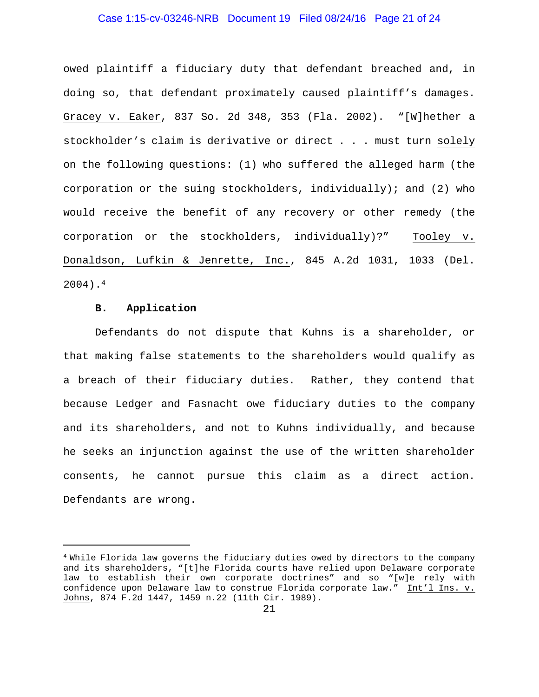### Case 1:15-cv-03246-NRB Document 19 Filed 08/24/16 Page 21 of 24

owed plaintiff a fiduciary duty that defendant breached and, in doing so, that defendant proximately caused plaintiff's damages. Gracey v. Eaker, 837 So. 2d 348, 353 (Fla. 2002). "[W]hether a stockholder's claim is derivative or direct . . . must turn solely on the following questions: (1) who suffered the alleged harm (the corporation or the suing stockholders, individually); and (2) who would receive the benefit of any recovery or other remedy (the corporation or the stockholders, individually)?" Tooley v. Donaldson, Lufkin & Jenrette, Inc., 845 A.2d 1031, 1033 (Del. 2004).4

### **B. Application**

i<br>I

Defendants do not dispute that Kuhns is a shareholder, or that making false statements to the shareholders would qualify as a breach of their fiduciary duties. Rather, they contend that because Ledger and Fasnacht owe fiduciary duties to the company and its shareholders, and not to Kuhns individually, and because he seeks an injunction against the use of the written shareholder consents, he cannot pursue this claim as a direct action. Defendants are wrong.

<sup>&</sup>lt;sup>4</sup> While Florida law governs the fiduciary duties owed by directors to the company and its shareholders, "[t]he Florida courts have relied upon Delaware corporate law to establish their own corporate doctrines" and so "[w]e rely with confidence upon Delaware law to construe Florida corporate law." Int'l Ins. v. Johns, 874 F.2d 1447, 1459 n.22 (11th Cir. 1989).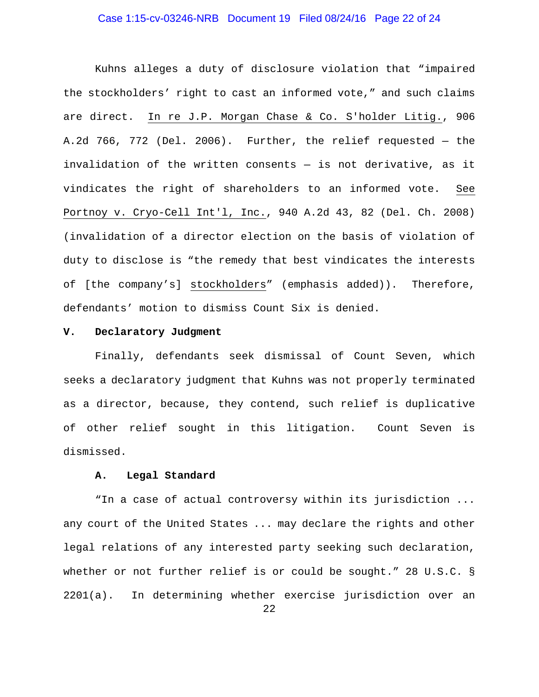# Case 1:15-cv-03246-NRB Document 19 Filed 08/24/16 Page 22 of 24

Kuhns alleges a duty of disclosure violation that "impaired the stockholders' right to cast an informed vote," and such claims are direct. In re J.P. Morgan Chase & Co. S'holder Litig., 906 A.2d 766, 772 (Del. 2006). Further, the relief requested — the invalidation of the written consents — is not derivative, as it vindicates the right of shareholders to an informed vote. See Portnoy v. Cryo-Cell Int'l, Inc., 940 A.2d 43, 82 (Del. Ch. 2008) (invalidation of a director election on the basis of violation of duty to disclose is "the remedy that best vindicates the interests of [the company's] stockholders" (emphasis added)). Therefore, defendants' motion to dismiss Count Six is denied.

#### **V. Declaratory Judgment**

Finally, defendants seek dismissal of Count Seven, which seeks a declaratory judgment that Kuhns was not properly terminated as a director, because, they contend, such relief is duplicative of other relief sought in this litigation. Count Seven is dismissed.

### **A. Legal Standard**

"In a case of actual controversy within its jurisdiction ... any court of the United States ... may declare the rights and other legal relations of any interested party seeking such declaration, whether or not further relief is or could be sought." 28 U.S.C. § 2201(a). In determining whether exercise jurisdiction over an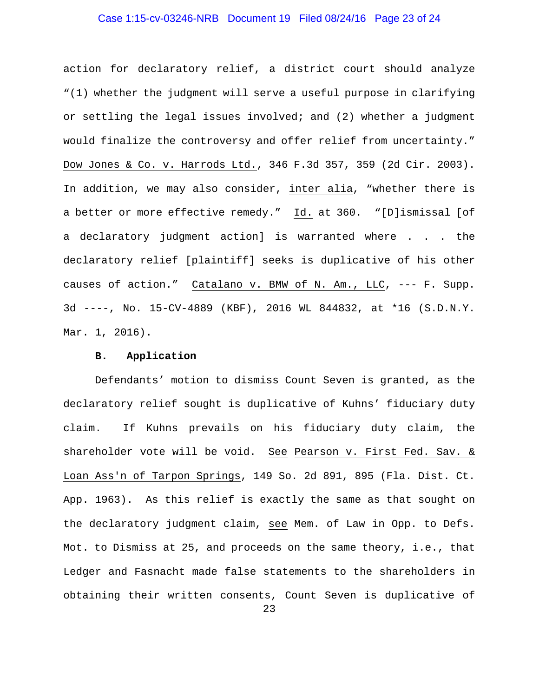# Case 1:15-cv-03246-NRB Document 19 Filed 08/24/16 Page 23 of 24

action for declaratory relief, a district court should analyze "(1) whether the judgment will serve a useful purpose in clarifying or settling the legal issues involved; and (2) whether a judgment would finalize the controversy and offer relief from uncertainty." Dow Jones & Co. v. Harrods Ltd., 346 F.3d 357, 359 (2d Cir. 2003). In addition, we may also consider, inter alia, "whether there is a better or more effective remedy." Id. at 360. "[D]ismissal [of a declaratory judgment action] is warranted where . . . the declaratory relief [plaintiff] seeks is duplicative of his other causes of action." Catalano v. BMW of N. Am., LLC, --- F. Supp. 3d ----, No. 15-CV-4889 (KBF), 2016 WL 844832, at \*16 (S.D.N.Y. Mar. 1, 2016).

### **B. Application**

Defendants' motion to dismiss Count Seven is granted, as the declaratory relief sought is duplicative of Kuhns' fiduciary duty claim. If Kuhns prevails on his fiduciary duty claim, the shareholder vote will be void. See Pearson v. First Fed. Sav. & Loan Ass'n of Tarpon Springs, 149 So. 2d 891, 895 (Fla. Dist. Ct. App. 1963). As this relief is exactly the same as that sought on the declaratory judgment claim, see Mem. of Law in Opp. to Defs. Mot. to Dismiss at 25, and proceeds on the same theory, i.e., that Ledger and Fasnacht made false statements to the shareholders in obtaining their written consents, Count Seven is duplicative of